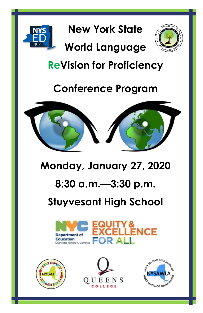

**New York State** 

## **World Language**



## **ReVision for Proficiency**

## **Conference Program**



## **Monday, January 27, 2020**

## **8:30 a.m.—3:30 p.m.**

## **Stuyvesant High School**







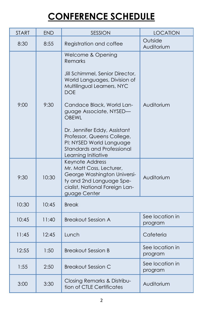## **CONFERENCE SCHEDULE**

| <b>START</b> | <b>END</b> | SESSION                                                                                                                                                                                                                                                                                                                                                                   | <b>LOCATION</b>            |
|--------------|------------|---------------------------------------------------------------------------------------------------------------------------------------------------------------------------------------------------------------------------------------------------------------------------------------------------------------------------------------------------------------------------|----------------------------|
| 8:30         | 8:55       | Registration and coffee                                                                                                                                                                                                                                                                                                                                                   | Outside<br>Auditorium      |
| 9:00         | 9:30       | Welcome & Opening<br>Remarks<br>Jill Schimmel, Senior Director,<br>World Languages, Division of<br>Multilingual Learners, NYC<br><b>DOE</b><br>Candace Black, World Lan-<br>guage Associate, NYSED-<br><b>OBEWI</b><br>Dr. Jennifer Eddy, Assistant<br>Professor, Queens College,<br>PI: NYSED World Language<br><b>Standards and Professional</b><br>Learning Initiative | Auditorium                 |
| 9:30         | 10:30      | Keynote Address<br>Mr. Matt Coss, Lecturer,<br>George Washington Universi-<br>ty and 2nd Language Spe-<br>cialist, National Foreign Lan-<br>guage Center                                                                                                                                                                                                                  | Auditorium                 |
| 10:30        | 10:45      | <b>Break</b>                                                                                                                                                                                                                                                                                                                                                              |                            |
| 10:45        | 11:40      | <b>Breakout Session A</b>                                                                                                                                                                                                                                                                                                                                                 | See location in<br>program |
| 11:45        | 12:45      | Lunch                                                                                                                                                                                                                                                                                                                                                                     | Cafeteria                  |
| 12:55        | 1:50       | <b>Breakout Session B</b>                                                                                                                                                                                                                                                                                                                                                 | See location in<br>program |
| 1:55         | 2:50       | <b>Breakout Session C</b>                                                                                                                                                                                                                                                                                                                                                 | See location in<br>program |
| 3:00         | 3:30       | Closing Remarks & Distribu-<br>tion of CTLE Certificates                                                                                                                                                                                                                                                                                                                  | Auditorium                 |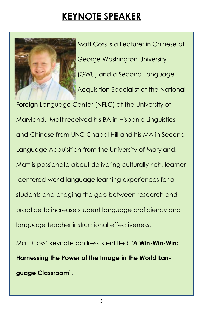## **KEYNOTE SPEAKER**



Matt Coss is a Lecturer in Chinese at George Washington University (GWU) and a Second Language Acquisition Specialist at the National

Foreign Language Center (NFLC) at the University of Maryland. Matt received his BA in Hispanic Linguistics and Chinese from UNC Chapel Hill and his MA in Second Language Acquisition from the University of Maryland. Matt is passionate about delivering culturally-rich, learner -centered world language learning experiences for all students and bridging the gap between research and practice to increase student language proficiency and language teacher instructional effectiveness.

Matt Coss' keynote address is entitled "**A Win-Win-Win: Harnessing the Power of the Image in the World Language Classroom".**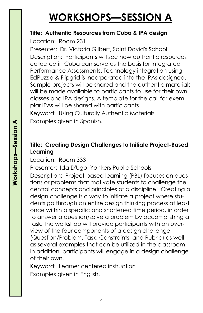## **WORKSHOPS—SESSION A**

#### **Title: Authentic Resources from Cuba & IPA design**

Location:Room 231

Presenter: Dr. Victoria Gilbert, Saint David's School Description: Participants will see how authentic resources collected in Cuba can serve as the basis for Integrated Performance Assessments. Technology integration using EdPuzzle & Flipgrid is incorporated into the IPAs designed. Sample projects will be shared and the authentic materials will be made available to participants to use for their own classes and IPA designs. A template for the call for exemplar IPAs will be shared with participants .

Keyword: Using Culturally Authentic Materials Examples given in Spanish.

#### **Title: Creating Design Challenges to Initiate Project-Based Learning**

Location:Room 333

Presenter: Ida D'Ugo, Yonkers Public Schools

Description: Project-based learning (PBL) focuses on questions or problems that motivate students to challenge the central concepts and principles of a discipline. Creating a design challenge is a way to initiate a project where students go through an entire design thinking process at least once within a specific and shortened time period, in order to answer a question/solve a problem by accomplishing a task. The workshop will provide participants with an overview of the four components of a design challenge (Question/Problem, Task, Constraints, and Rubric) as well as several examples that can be utilized in the classroom. In addition, participants will engage in a design challenge of their own.

Keyword: Learner centered instruction Examples given in English.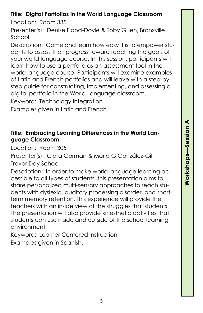# **Workshops —Session A**

#### **Title: Digital Portfolios in the World Language Classroom**

Location:Room 335

Presenter(s): Denise Flood-Doyle & Toby Gillen, Bronxville School

Description: Come and learn how easy it is to empower students to assess their progress toward reaching the goals of your world language course. In this session, participants will learn how to use a portfolio as an assessment tool in the world language course. Participants will examine examples of Latin and French portfolios and will leave with a step-bystep guide for constructing, implementing, and assessing a digital portfolio in the World Language classroom.

Keyword: Technology Integration

Examples given in Latin and French.

#### **Title: Embracing Learning Differences in the World Language Classroom**

Location:Room 305

Presenter(s): Clara Gorman & Maria G.González-Gil, Trevor Day School

Description: In order to make world language learning accessible to all types of students, this presentation aims to share personalized multi-sensory approaches to reach students with dyslexia, auditory processing disorder, and shortterm memory retention. This experience will provide the teachers with an inside view of the struggles that students. The presentation will also provide kinesthetic activities that students can use inside and outside of the school learning environment.

Keyword: Learner Centered Instruction Examples given in Spanish.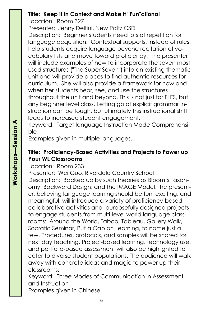#### **Title: Keep it in Context and Make it "Fun"ctional**

Location:Room 327

Presenter: Jenny Delfini, New Paltz CSD Description: Beginner students need lots of repetition for language acquisition. Contextual supports, instead of rules, help students acquire language beyond recitation of vocabulary lists and move toward proficiency. The presenter will include examples of how to incorporate the seven most used structures ("The Super Seven") into an existing thematic unit and will provide places to find authentic resources for curriculum. She will also provide a framework for how and when her students hear, see, and use the structures throughout the unit and beyond. This is not just for FLES, but any beginner level class. Letting go of explicit grammar instruction can be tough, but ultimately this instructional shift leads to increased student engagement.

Keyword: Target language Instruction Made Comprehensible

Examples given in multiple languages.

#### **Title: Proficiency-Based Activities and Projects to Power up Your WL Classrooms**

Location:Room 233

Presenter: Wei Guo, Riverdale Country School Description: Backed up by such theories as Bloom's Taxonomy, Backward Design, and the IMAGE Model, the presenter, believing language learning should be fun, exciting, and meaningful, will introduce a variety of proficiency-based collaborative activities and purposefully designed projects to engage students from multi-level world language classrooms: Around the World, Taboo, Tableau, Gallery Walk, Socratic Seminar, Put a Cap on Learning, to name just a few. Procedures, protocols, and samples will be shared for next day teaching. Project-based learning, technology use, and portfolio-based assessment will also be highlighted to cater to diverse student populations. The audience will walk away with concrete ideas and magic to power up their classrooms.

Keyword: Three Modes of Communication in Assessment and Instruction

Examples given in Chinese.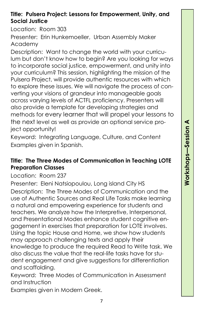#### **Title: Pulsera Project: Lessons for Empowerment, Unity, and Social Justice**

Location:Room 303

Presenter: Erin Hunkemoeller, Urban Assembly Maker Academy

Description: Want to change the world with your curriculum but don't know how to begin? Are you looking for ways to incorporate social justice, empowerment, and unity into your curriculum? This session, highlighting the mission of the Pulsera Project, will provide authentic resources with which to explore these issues. We will navigate the process of converting your visions of grandeur into manageable goals across varying levels of ACTFL proficiency. Presenters will also provide a template for developing strategies and methods for every learner that will propel your lessons to the next level as well as provide an optional service project opportunity!

Keyword: Integrating Language, Culture, and Content Examples given in Spanish.

#### **Title: The Three Modes of Communication in Teaching LOTE Preparation Classes**

Location:Room 237

Presenter: Eleni Natsiopoulou, Long island City HS Description: The Three Modes of Communication and the use of Authentic Sources and Real Life Tasks make learning a natural and empowering experience for students and teachers. We analyze how the Interpretive, Interpersonal, and Presentational Modes enhance student cognitive engagement in exercises that preparation for LOTE involves. Using the topic House and Home, we show how students may approach challenging texts and apply their knowledge to produce the required Read to Write task. We also discuss the value that the real-life tasks have for student engagement and give suggestions for differentiation and scaffolding.

Keyword: Three Modes of Communication in Assessment and Instruction

Examples given in Modern Greek.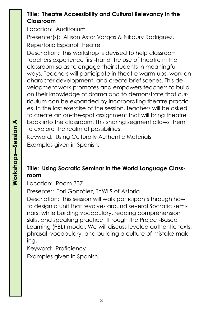#### **Title: Theatre Accessibility and Cultural Relevancy in the Classroom**

Location:Auditorium

Presenter(s): Allison Astor Vargas & Nikaury Rodriguez, Repertorio Español Theatre

Description: This workshop is devised to help classroom teachers experience first-hand the use of theatre in the classroom so as to engage their students in meaningful ways. Teachers will participate in theatre warm-ups, work on character development, and create brief scenes. This development work promotes and empowers teachers to build on their knowledge of drama and to demonstrate that curriculum can be expanded by incorporating theatre practices. In the last exercise of the session, teachers will be asked to create an on-the-spot assignment that will bring theatre back into the classroom. This sharing segment allows them to explore the realm of possibilities.

Keyword: Using Culturally Authentic Materials Examples given in Spanish.

#### **Title: Using Socratic Seminar in the World Language Classroom**

Location:Room 337

Presenter: Tori González, TYWLS of Astoria Description: This session will walk participants through how to design a unit that revolves around several Socratic seminars, while building vocabulary, reading comprehension skills, and speaking practice, through the Project-Based Learning (PBL) model. We will discuss leveled authentic texts, phrasal vocabulary, and building a culture of mistake making.

Keyword: Proficiency Examples given in Spanish.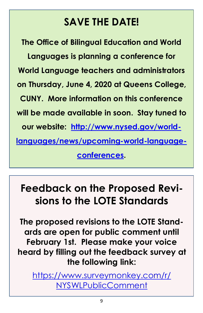## **SAVE THE DATE!**

**The Office of Bilingual Education and World Languages is planning a conference for World Language teachers and administrators on Thursday, June 4, 2020 at Queens College, CUNY. More information on this conference will be made available in soon. Stay tuned to our website: [http://www.nysed.gov/world](http://www.nysed.gov/world-languages/news/upcoming-world-language-conferences)[languages/news/upcoming-world-language](http://www.nysed.gov/world-languages/news/upcoming-world-language-conferences)[conferences.](http://www.nysed.gov/world-languages/news/upcoming-world-language-conferences)**

## **Feedback on the Proposed Revisions to the LOTE Standards**

**The proposed revisions to the LOTE Standards are open for public comment until February 1st. Please make your voice heard by filling out the feedback survey at the following link:** 

[https://www.surveymonkey.com/r/](https://www.surveymonkey.com/r/NYSWLPublicComment) [NYSWLPublicComment](https://www.surveymonkey.com/r/NYSWLPublicComment)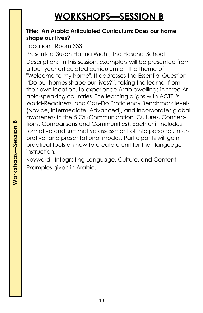## **WORKSHOPS—SESSION B**

#### **Title: An Arabic Articulated Curriculum: Does our home shape our lives?**

Location:Room 333

Presenter: Susan Hanna Wicht, The Heschel School Description: In this session, exemplars will be presented from a four-year articulated curriculum on the theme of "Welcome to my home". It addresses the Essential Question "Do our homes shape our lives?", taking the learner from their own location, to experience Arab dwellings in three Arabic-speaking countries. The learning aligns with ACTFL's World-Readiness, and Can-Do Proficiency Benchmark levels (Novice, Intermediate, Advanced), and incorporates global awareness in the 5 Cs (Communication, Cultures, Connections, Comparisons and Communities). Each unit includes formative and summative assessment of interpersonal, interpretive, and presentational modes. Participants will gain practical tools on how to create a unit for their language instruction.

Keyword: Integrating Language, Culture, and Content Examples given in Arabic.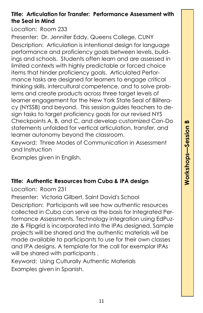#### **Title: Articulation for Transfer: Performance Assessment with the Seal in Mind**

Location:Room 233

Presenter: Dr. Jennifer Eddy, Queens College, CUNY Description: Articulation is intentional design for language performance and proficiency goals between levels, buildings and schools. Students often learn and are assessed in limited contexts with highly predictable or forced choice items that hinder proficiency goals. Articulated Performance tasks are designed for learners to engage critical thinking skills, intercultural competence, and to solve problems and create products across three target levels of learner engagement for the New York State Seal of Biliteracy (NYSSB) and beyond. This session guides teachers to design tasks to target proficiency goals for our revised NYS Checkpoints A, B, and C, and develop customized Can-Do statements unfolded for vertical articulation, transfer, and learner autonomy beyond the classroom.

Keyword: Three Modes of Communication in Assessment and Instruction

Examples given in English.

#### **Title: Authentic Resources from Cuba & IPA design**

Location:Room 231

Presenter: Victoria Gilbert, Saint David's School

Description: Participants will see how authentic resources collected in Cuba can serve as the basis for Integrated Performance Assessments. Technology integration using EdPuzzle & Flipgrid is incorporated into the IPAs designed. Sample projects will be shared and the authentic materials will be made available to participants to use for their own classes and IPA designs. A template for the call for exemplar IPAs will be shared with participants .

Keyword: Using Culturally Authentic Materials Examples given in Spanish.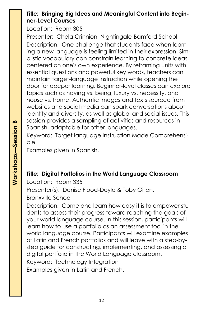#### **Title: Bringing Big Ideas and Meaningful Content into Beginner-Level Courses**

Location:Room 305

Presenter: Chela Crinnion, Nightingale-Bamford School Description: One challenge that students face when learning a new language is feeling limited in their expression. Simplistic vocabulary can constrain learning to concrete ideas, centered on one's own experience. By reframing units with essential questions and powerful key words, teachers can maintain target-language instruction while opening the door for deeper learning. Beginner-level classes can explore topics such as having vs. being, luxury vs. necessity, and house vs. home. Authentic images and texts sourced from websites and social media can spark conversations about identity and diversity, as well as global and social issues. This session provides a sampling of activities and resources in Spanish, adaptable for other languages.

Keyword: Target language Instruction Made Comprehensible

Examples given in Spanish.

#### **Title: Digital Portfolios in the World Language Classroom**

Location:Room 335

Presenter(s): Denise Flood-Doyle & Toby Gillen,

Bronxville School

Description: Come and learn how easy it is to empower students to assess their progress toward reaching the goals of your world language course. In this session, participants will learn how to use a portfolio as an assessment tool in the world language course. Participants will examine examples of Latin and French portfolios and will leave with a step-bystep guide for constructing, implementing, and assessing a digital portfolio in the World Language classroom. Keyword: Technology Integration

Examples given in Latin and French.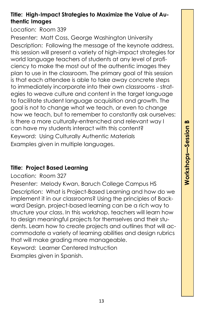#### **Title: High-Impact Strategies to Maximize the Value of Authentic Images**

Location:Room 339

Presenter: Matt Coss, George Washington University Description: Following the message of the keynote address, this session will present a variety of high-impact strategies for world language teachers of students at any level of proficiency to make the most out of the authentic images they plan to use in the classroom. The primary goal of this session is that each attendee is able to take away concrete steps to immediately incorporate into their own classrooms - strategies to weave culture and content in the target language to facilitate student language acquisition and growth. The goal is not to change what we teach, or even to change how we teach, but to remember to constantly ask ourselves: is there a more culturally-entrenched and relevant way I can have my students interact with this content? Keyword: Using Culturally Authentic Materials Examples given in multiple languages.

#### **Title: Project Based Learning**

Location:Room 327

Presenter: Melody Kwan, Baruch College Campus HS Description: What is Project-Based Learning and how do we implement it in our classrooms? Using the principles of Backward Design, project-based learning can be a rich way to structure your class. In this workshop, teachers will learn how to design meaningful projects for themselves and their students. Learn how to create projects and outlines that will accommodate a variety of learning abilities and design rubrics that will make grading more manageable. Keyword: Learner Centered Instruction

Examples given in Spanish.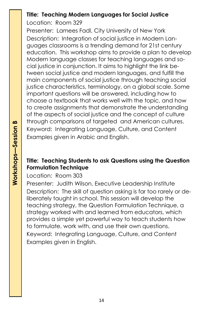#### **Title: Teaching Modern Languages for Social Justice**

Location:Room 329

Presenter: Lamees Fadl, City University of New York Description: Integration of social justice in Modern Languages classrooms is a trending demand for 21st century education. This workshop aims to provide a plan to develop Modern language classes for teaching languages and social justice in conjunction. It aims to highlight the link between social justice and modern languages, and fulfill the main components of social justice through teaching social justice characteristics, terminology, on a global scale. Some important questions will be answered, including how to choose a textbook that works well with the topic, and how to create assignments that demonstrate the understanding of the aspects of social justice and the concept of culture through comparisons of targeted and American cultures. Keyword: Integrating Language, Culture, and Content Examples given in Arabic and English.

#### **Title: Teaching Students to ask Questions using the Question Formulation Technique**

Location:Room 303

Presenter: Judith Wilson, Executive Leadership Institute Description: The skill of question asking is far too rarely or deliberately taught in school. This session will develop the teaching strategy, the Question Formulation Technique, a strategy worked with and learned from educators, which provides a simple yet powerful way to teach students how to formulate, work with, and use their own questions. Keyword: Integrating Language, Culture, and Content Examples given in English.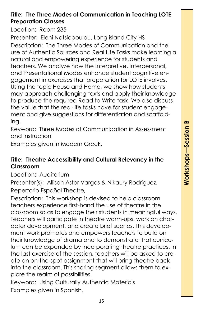#### **Title: The Three Modes of Communication in Teaching LOTE Preparation Classes**

Location:Room 235

Presenter: Eleni Natsiopoulou, Long island City HS Description: The Three Modes of Communication and the use of Authentic Sources and Real Life Tasks make learning a natural and empowering experience for students and teachers. We analyze how the Interpretive, Interpersonal, and Presentational Modes enhance student cognitive engagement in exercises that preparation for LOTE involves. Using the topic House and Home, we show how students may approach challenging texts and apply their knowledge to produce the required Read to Write task. We also discuss the value that the real-life tasks have for student engagement and give suggestions for differentiation and scaffolding.

Keyword: Three Modes of Communication in Assessment and Instruction

Examples given in Modern Greek.

#### **Title: Theatre Accessibility and Cultural Relevancy in the Classroom**

Location:Auditorium

Presenter(s): Allison Astor Vargas & Nikaury Rodriguez, Repertorio Español Theatre,

Description: This workshop is devised to help classroom teachers experience first-hand the use of theatre in the classroom so as to engage their students in meaningful ways. Teachers will participate in theatre warm-ups, work on character development, and create brief scenes. This development work promotes and empowers teachers to build on their knowledge of drama and to demonstrate that curriculum can be expanded by incorporating theatre practices. In the last exercise of the session, teachers will be asked to create an on-the-spot assignment that will bring theatre back into the classroom. This sharing segment allows them to explore the realm of possibilities.

Keyword: Using Culturally Authentic Materials Examples given in Spanish.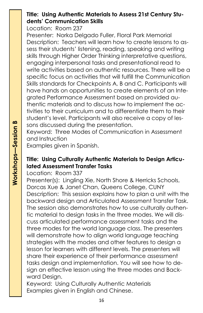#### **Title: Using Authentic Materials to Assess 21st Century Students' Communication Skills**

Location:Room 237

Presenter: Norka Delgado Fuller, Floral Park Memorial Description: Teachers will learn how to create lessons to assess their students' listening, reading, speaking and writing skills through Higher Order Thinking interpretative questions, engaging interpersonal tasks and presentational read to write activities based on authentic resources. There will be a specific focus on activities that will fulfill the Communication Skills standards for Checkpoints A, B and C. Participants will have hands on opportunities to create elements of an Integrated Performance Assessment based on provided authentic materials and to discuss how to implement the activities to their curriculum and to differentiate them to their student's level. Participants will also receive a copy of lessons discussed during the presentation.

Keyword: Three Modes of Communication in Assessment and Instruction

Examples given in Spanish.

#### **Title: Using Culturally Authentic Materials to Design Articulated Assessment Transfer Tasks**

Location:Room 337

Presenter(s): Lingling Xie, North Shore & Herricks Schools, Dorcas Xue & Janet Chan, Queens College, CUNY Description: This session explains how to plan a unit with the backward design and Articulated Assessment Transfer Task. The session also demonstrates how to use culturally authentic material to design tasks in the three modes. We will discuss articulated performance assessment tasks and the three modes for the world language class. The presenters will demonstrate how to align world language teaching strategies with the modes and other features to design a lesson for learners with different levels. The presenters will share their experience of their performance assessment tasks design and implementation. You will see how to design an effective lesson using the three modes and Backward Design.

Keyword: Using Culturally Authentic Materials Examples given in English and Chinese.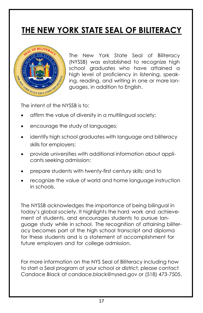## **THE NEW YORK STATE SEAL OF BILITERACY**



The New York State Seal of Biliteracy (NYSSB) was established to recognize high school graduates who have attained a high level of proficiency in listening, speaking, reading, and writing in one or more languages, in addition to English.

The intent of the NYSSB is to:

- affirm the value of diversity in a multilingual society;
- encourage the study of languages;
- identify high school graduates with language and biliteracy skills for employers;
- provide universities with additional information about applicants seeking admission;
- prepare students with twenty-first century skills; and to
- recognize the value of world and home language instruction in schools.

The NYSSB acknowledges the importance of being bilingual in today's global society. It highlights the hard work and achievement of students, and encourages students to pursue language study while in school. The recognition of attaining biliteracy becomes part of the high school transcript and diploma for these students and is a statement of accomplishment for future employers and for college admission.

For more information on the NYS Seal of Biliteracy including how to start a Seal program at your school or district, please contact Candace Black at candace.black@nysed.gov or (518) 473-7505.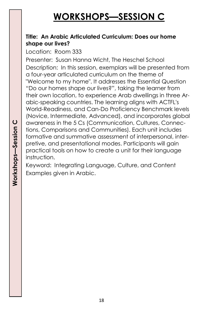## **WORKSHOPS—SESSION C**

#### **Title: An Arabic Articulated Curriculum: Does our home shape our lives?**

Location:Room 333

Presenter: Susan Hanna Wicht, The Heschel School Description: In this session, exemplars will be presented from a four-year articulated curriculum on the theme of "Welcome to my home". It addresses the Essential Question "Do our homes shape our lives?", taking the learner from their own location, to experience Arab dwellings in three Arabic-speaking countries. The learning aligns with ACTFL's World-Readiness, and Can-Do Proficiency Benchmark levels (Novice, Intermediate, Advanced), and incorporates global awareness in the 5 Cs (Communication, Cultures, Connections, Comparisons and Communities). Each unit includes formative and summative assessment of interpersonal, interpretive, and presentational modes. Participants will gain practical tools on how to create a unit for their language instruction.

Keyword: Integrating Language, Culture, and Content Examples given in Arabic.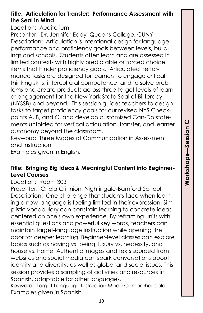#### **Title: Articulation for Transfer: Performance Assessment with the Seal in Mind**

Location:Auditorium

Presenter: Dr. Jennifer Eddy, Queens College, CUNY Description: Articulation is intentional design for language performance and proficiency goals between levels, buildings and schools. Students often learn and are assessed in limited contexts with highly predictable or forced choice items that hinder proficiency goals. Articulated Performance tasks are designed for learners to engage critical thinking skills, intercultural competence, and to solve problems and create products across three target levels of learner engagement for the New York State Seal of Biliteracy (NYSSB) and beyond. This session guides teachers to design tasks to target proficiency goals for our revised NYS Checkpoints A, B, and C, and develop customized Can-Do statements unfolded for vertical articulation, transfer, and learner autonomy beyond the classroom.

Keyword: Three Modes of Communication in Assessment and Instruction

Examples given in English.

#### **Title: Bringing Big Ideas & Meaningful Content into Beginner-Level Courses**

Location:Room 303

Presenter: Chela Crinnion, Nightingale-Bamford School Description: One challenge that students face when learning a new language is feeling limited in their expression. Simplistic vocabulary can constrain learning to concrete ideas, centered on one's own experience. By reframing units with essential questions and powerful key words, teachers can maintain target-language instruction while opening the door for deeper learning. Beginner-level classes can explore topics such as having vs. being, luxury vs. necessity, and house vs. home. Authentic images and texts sourced from websites and social media can spark conversations about identity and diversity, as well as global and social issues. This session provides a sampling of activities and resources in Spanish, adaptable for other languages.

Keyword: Target Language Instruction Made Comprehensible Examples given in Spanish.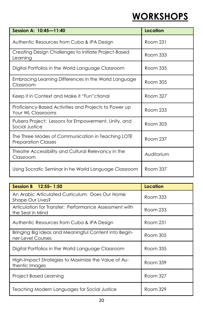## **WORKSHOPS**

| Session A: 10:45-11:40                                                          | Location   |
|---------------------------------------------------------------------------------|------------|
| Authentic Resources from Cuba & IPA Design                                      | Room 231   |
| Creating Design Challenges to Initiate Project-Based<br>Learning                | Room 333   |
| Digital Portfolios in the World Language Classroom                              | Room 335   |
| Embracing Learning Differences in the World Language<br>Classroom               | Room 305   |
| Keep it in Context and Make it "Fun"ctional                                     | Room 327   |
| Proficiency-Based Activities and Projects to Power up<br>Your WL Classrooms     | Room 233   |
| Pulsera Project: Lessons for Empowerment, Unity, and<br>Social Justice          | Room 303   |
| The Three Modes of Communication in Teaching LOTE<br><b>Preparation Classes</b> | Room 237   |
| Theatre Accessibility and Cultural Relevancy in the<br>Classroom                | Auditorium |
| Using Socratic Seminar in he World Language Classroom                           | Room 337   |

| Session B 12:55-1:50                                                       | Location |
|----------------------------------------------------------------------------|----------|
| An Arabic Articulated Curriculum: Does Our Home<br>Shape Our Lives?        | Room 333 |
| Articulation for Transfer: Performance Assessment with<br>the Seal in Mind | Room 233 |
| Authentic Resources from Cuba & IPA Design                                 | Room 231 |
| Bringing Big Ideas and Meaningful Content into Begin-<br>ner-Level Courses | Room 305 |
| Digital Portfolios in the World Language Classroom                         | Room 335 |
| High-Impact Strategies to Maximize the Value of Au-<br>thentic Images      | Room 339 |
| Project Based Learning                                                     | Room 327 |
| Teaching Modern Languages for Social Justice                               | Room 329 |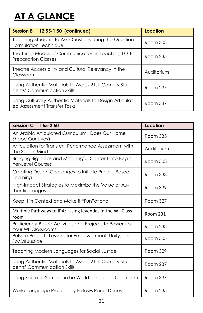## **AT A GLANCE**

| Session B 12:55-1:50 (confinued)                                                          | Location   |
|-------------------------------------------------------------------------------------------|------------|
| Teaching Students to Ask Questions Using the Question<br>Formulation Technique            | Room 303   |
| The Three Modes of Communication in Teaching LOTE<br><b>Preparation Classes</b>           | Room 235   |
| Theatre Accessibility and Cultural Relevancy in the<br>Classroom                          | Auditorium |
| Using Authentic Materials to Assess 21st Century Stu-<br>dents' Communication Skills      | Room 237   |
| Using Culturally Authentic Materials to Design Articulat-<br>ed Assessment Transfer Tasks | Room 337   |

| Session C 1:55-2:50                                                                  | <b>Location</b> |
|--------------------------------------------------------------------------------------|-----------------|
| An Arabic Articulated Curriculum: Does Our Home<br>Shape Our Lives?                  | Room 335        |
| Articulation for Transfer: Performance Assessment with<br>the Seal in Mind           | Auditorium      |
| Bringing Big Ideas and Meaningful Content into Begin-<br>ner-Level Courses           | Room 303        |
| Creating Design Challenges to Initiate Project-Based<br>Learning                     | Room 333        |
| High-Impact Strategies to Maximize the Value of Au-<br>thentic Images                | Room 339        |
| Keep it in Context and Make it "Fun" ctional                                         | Room 327        |
| Multiple Pathways to IPA: Using leyendas in the WL Class-<br>room                    | <b>Room 231</b> |
| Proficiency-Based Activities and Projects to Power up<br><b>Your WL Classrooms</b>   | Room 233        |
| Pulsera Project: Lessons for Empowerment, Unity, and<br>Social Justice               | Room 305        |
| Teaching Modern Languages for Social Justice                                         | Room 329        |
| Using Authentic Materials to Assess 21st Century Stu-<br>dents' Communication Skills | Room 237        |
| Using Socratic Seminar in he World Language Classroom                                | Room 337        |
| World Language Proficiency Fellows Panel Discussion                                  | Room 235        |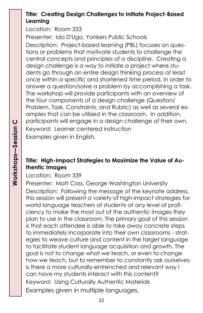#### **Title: Creating Design Challenges to Initiate Project-Based Learning**

Location:Room 333

Presenter: Ida D'Ugo, Yonkers Public Schools

Description: Project-based learning (PBL) focuses on questions or problems that motivate students to challenge the central concepts and principles of a discipline. Creating a design challenge is a way to initiate a project where students go through an entire design thinking process at least once within a specific and shortened time period, in order to answer a question/solve a problem by accomplishing a task. The workshop will provide participants with an overview of the four components of a design challenge (Question/ Problem, Task, Constraints, and Rubric) as well as several examples that can be utilized in the classroom. In addition, participants will engage in a design challenge of their own. Keyword: Learner centered instruction Examples given in English.

#### **Title: High-Impact Strategies to Maximize the Value of Authentic Images**

Location:Room 339

Presenter: Matt Coss, George Washington University Description: Following the message of the keynote address, this session will present a variety of high-impact strategies for world language teachers of students at any level of proficiency to make the most out of the authentic images they plan to use in the classroom. The primary goal of this session is that each attendee is able to take away concrete steps to immediately incorporate into their own classrooms - strategies to weave culture and content in the target language to facilitate student language acquisition and growth. The goal is not to change what we teach, or even to change how we teach, but to remember to constantly ask ourselves: is there a more culturally-entrenched and relevant way I can have my students interact with this content? Keyword: Using Culturally Authentic Materials Examples given in multiple languages.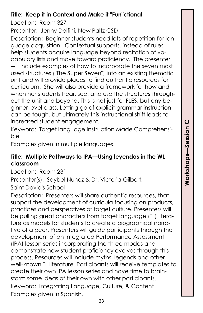#### **Title: Keep it in Context and Make it "Fun"ctional**

Location:Room 327

Presenter: Jenny Delfini, New Paltz CSD

Description: Beginner students need lots of repetition for language acquisition. Contextual supports, instead of rules, help students acquire language beyond recitation of vocabulary lists and move toward proficiency. The presenter will include examples of how to incorporate the seven most used structures ("The Super Seven") into an existing thematic unit and will provide places to find authentic resources for curriculum. She will also provide a framework for how and when her students hear, see, and use the structures throughout the unit and beyond. This is not just for FLES, but any beginner level class. Letting go of explicit grammar instruction can be tough, but ultimately this instructional shift leads to increased student engagement.

Keyword: Target language Instruction Made Comprehensible

Examples given in multiple languages.

#### **Title: Multiple Pathways to IPA—Using leyendas in the WL classroom**

Location:Room 231

Presenter(s): Saybel Nunez & Dr. Victoria Gilbert, Saint David's School

Description: Presenters will share authentic resources, that support the development of curricula focusing on products, practices and perspectives of target culture. Presenters will be pulling great characters from target language (TL) literature as models for students to create a biographical narrative of a peer. Presenters will guide participants through the development of an Integrated Performance Assessment (IPA) lesson series incorporating the three modes and demonstrate how student proficiency evolves through this process. Resources will include myths, legends and other well-known TL literature. Participants will receive templates to create their own IPA lesson series and have time to brainstorm some ideas of their own with other participants. Keyword: Integrating Language, Culture, & Content Examples given in Spanish.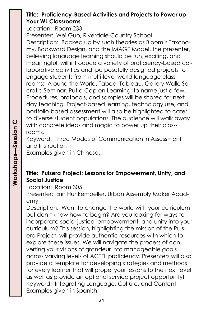#### **Title: Proficiency-Based Activities and Projects to Power up Your WL Classrooms**

Location:Room 233

Presenter: Wei Guo, Riverdale Country School Description: Backed up by such theories as Bloom's Taxonomy, Backward Design, and the IMAGE Model, the presenter, believing language learning should be fun, exciting, and meaningful, will introduce a variety of proficiency-based collaborative activities and purposefully designed projects to engage students from multi-level world language classrooms: Around the World, Taboo, Tableau, Gallery Walk, Socratic Seminar, Put a Cap on Learning, to name just a few. Procedures, protocols, and samples will be shared for next day teaching. Project-based learning, technology use, and portfolio-based assessment will also be highlighted to cater to diverse student populations. The audience will walk away with concrete ideas and magic to power up their classrooms.

Keyword: Three Modes of Communication in Assessment and Instruction

Examples given in Chinese.

#### **Title: Pulsera Project: Lessons for Empowerment, Unity, and Social Justice**

Location:Room 305

Presenter: Erin Hunkemoeller, Urban Assembly Maker Academy

Description: Want to change the world with your curriculum but don't know how to begin? Are you looking for ways to incorporate social justice, empowerment, and unity into your curriculum? This session, highlighting the mission of the Pulsera Project, will provide authentic resources with which to explore these issues. We will navigate the process of converting your visions of grandeur into manageable goals across varying levels of ACTFL proficiency. Presenters will also provide a template for developing strategies and methods for every learner that will propel your lessons to the next level as well as provide an optional service project opportunity! Keyword: Integrating Language, Culture, and Content Examples given in Spanish.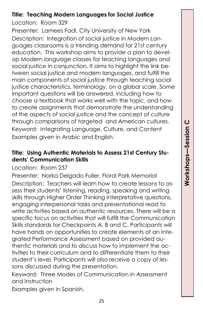#### **Title: Teaching Modern Languages for Social Justice**

Location:Room 329

Presenter: Lamees Fadl, City University of New York Description: Integration of social justice in Modern Languages classrooms is a trending demand for 21st century education. This workshop aims to provide a plan to develop Modern language classes for teaching languages and social justice in conjunction. It aims to highlight the link between social justice and modern languages, and fulfill the main components of social justice through teaching social justice characteristics, terminology, on a global scale. Some important questions will be answered, including how to choose a textbook that works well with the topic, and how to create assignments that demonstrate the understanding of the aspects of social justice and the concept of culture through comparisons of targeted and American cultures. Keyword: Integrating Language, Culture, and Content Examples given in Arabic and English.

#### **Title: Using Authentic Materials to Assess 21st Century Students' Communication Skills**

Location:Room 237

Presenter: Norka Delgado Fuller, Floral Park Memorial Description: Teachers will learn how to create lessons to assess their students' listening, reading, speaking and writing skills through Higher Order Thinking interpretative questions, engaging interpersonal tasks and presentational read to write activities based on authentic resources. There will be a specific focus on activities that will fulfill the Communication Skills standards for Checkpoints A, B and C. Participants will have hands on opportunities to create elements of an Integrated Performance Assessment based on provided authentic materials and to discuss how to implement the activities to their curriculum and to differentiate them to their student's level. Participants will also receive a copy of lessons discussed during the presentation.

Keyword: Three Modes of Communication in Assessment and Instruction

Examples given in Spanish.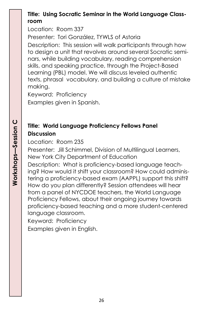#### **Title: Using Socratic Seminar in the World Language Classroom**

Location:Room 337

Presenter: Tori González, TYWLS of Astoria

Description: This session will walk participants through how to design a unit that revolves around several Socratic seminars, while building vocabulary, reading comprehension skills, and speaking practice, through the Project-Based Learning (PBL) model. We will discuss leveled authentic texts, phrasal vocabulary, and building a culture of mistake making.

Keyword: Proficiency Examples given in Spanish.

#### **Title: World Language Proficiency Fellows Panel Discussion**

Location:Room 235

Presenter: Jill Schimmel, Division of Multilingual Learners, New York City Department of Education

Description: What is proficiency-based language teaching? How would it shift your classroom? How could administering a proficiency-based exam (AAPPL) support this shift? How do you plan differently? Session attendees will hear from a panel of NYCDOE teachers, the World Language Proficiency Fellows, about their ongoing journey towards proficiency-based teaching and a more student-centered language classroom.

Keyword: Proficiency

Examples given in English.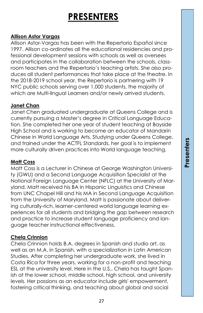## **PRESENTERS**

#### **Allison Astor Vargas**

Allison Astor-Vargas has been with the Repertorio Español since 1997. Allison co-ordinates all the educational residencies and professional development sessions with schools as well as oversees and participates in the collaboration between the schools, classroom teachers and the Repertorio's teaching artists. She also produces all student performances that take place at the theatre. In the 2018-2019 school year, the Repertorio is partnering with 19 NYC public schools serving over 1,000 students, the majority of which are Multi-lingual Learners and/or newly arrived students.

#### **Janet Chan**

Janet Chen graduated undergraduate at Queens College and is currently pursuing a Master's degree in Critical Language Education. She completed her one year of student teaching at Bayside High School and is working to become an educator of Mandarin Chinese in World Language Arts. Studying under Queens College, and trained under the ACTFL Standards, her goal is to implement more culturally driven practices into World language teaching.

#### **Matt Coss**

Matt Coss is a Lecturer in Chinese at George Washington University (GWU) and a Second Language Acquisition Specialist at the National Foreign Language Center (NFLC) at the University of Maryland. Matt received his BA in Hispanic Linguistics and Chinese from UNC Chapel Hill and his MA in Second Language Acquisition from the University of Maryland. Matt is passionate about delivering culturally-rich, learner-centered world language learning experiences for all students and bridging the gap between research and practice to increase student language proficiency and language teacher instructional effectiveness.

#### **Chela Crinnion**

Chela Crinnion holds B.A. degrees in Spanish and studio art, as well as an M.A. in Spanish, with a specialization in Latin American Studies. After completing her undergraduate work, she lived in Costa Rica for three years, working for a non-profit and teaching ESL at the university level. Here in the U.S., Chela has taught Spanish at the lower school, middle school, high school, and university levels. Her passions as an educator include girls' empowerment, fostering critical thinking, and teaching about global and social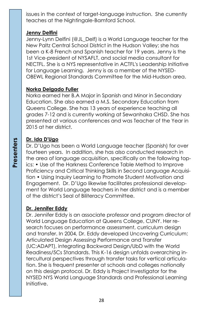issues in the context of target-language instruction. She currently teaches at the Nightingale-Bamford School.

#### **Jenny Delfini**

Jenny-Lynn Delfini (@JL\_Delf) is a World Language teacher for the New Paltz Central School District in the Hudson Valley; she has been a K-8 French and Spanish teacher for 19 years. Jenny is the 1st Vice-president of NYSAFLT, and social media consultant for NECTFL. She is a NYS representative in ACTFL's Leadership Initiative for Language Learning. Jenny is as a member of the NYSED-OBEWL Regional Standards Committee for the Mid-Hudson area.

#### **Norka Delgado Fuller**

Norka earned her B.A Major in Spanish and Minor in Secondary Education. She also earned a M.S. Secondary Education from Queens College. She has 13 years of experience teaching all grades 7-12 and is currently working at Sewanhaka CHSD. She has presented at various conferences and was Teacher of the Year in 2015 at her district.

#### **Dr. Ida D'Ugo**

Dr. D'Ugo has been a World Language teacher (Spanish) for over fourteen years. In addition, she has also conducted research in the area of language acquisition, specifically on the following topics: • Use of the Harkness Conference Table Method to Improve Proficiency and Critical Thinking Skills in Second Language Acquisition • Using Inquiry Learning to Promote Student Motivation and Engagement. Dr. D'Ugo likewise facilitates professional development for World Language teachers in her district and is a member of the district's Seal of Biliteracy Committee.

#### **Dr. Jennifer Eddy**

Dr. Jennifer Eddy is an associate professor and program director of World Language Education at Queens College, CUNY. Her research focuses on performance assessment, curriculum design and transfer. In 2004, Dr. Eddy developed Uncovering Curriculum: Articulated Design Assessing Performance and Transfer (UC:ADAPT), integrating Backward Design/UbD with the World Readiness/5Cs Standards. This K-16 design unfolds overarching intercultural perspectives through transfer tasks for vertical articulation. She is frequent presenter at schools and colleges nationally on this design protocol. Dr. Eddy is Project Investigator for the NYSED NYS World Language Standards and Professional Learning Initiative.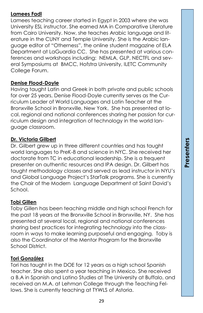#### **Lamees Fadl**

Lamees teaching career started in Egypt in 2003 where she was University ESL instructor. She earned MA in Comparative Literature from Cairo University. Now, she teaches Arabic language and literature in the CUNY and Temple University. She is the Arabic language editor of "Otherness", the online student magazine of ELA Department at LaGuardia CC. She has presented at various conferences and workshops including: NEMLA, GLP, NECTFL and several Symposiums at BMCC, Hofstra University, ILETC Community College Forum.

#### **Denise Flood-Doyle**

Having taught Latin and Greek in both private and public schools for over 25 years, Denise Flood-Doyle currently serves as the Curriculum Leader of World Languages and Latin Teacher at the Bronxville School in Bronxville, New York. She has presented at local, regional and national conferences sharing her passion for curriculum design and integration of technology in the world language classroom.

#### **Dr. Victoria Gilbert**

Dr. Gilbert grew up in three different countries and has taught world languages to PreK-8 and science in NYC. She received her doctorate from TC in educational leadership. She is a frequent presenter on authentic resources and IPA design. Dr. Gilbert has taught methodology classes and served as lead instructor in NYU's and Global Language Project's StarTalk programs. She is currently the Chair of the Modern Language Department at Saint David's School.

#### **Tobi Gillen**

Toby Gillen has been teaching middle and high school French for the past 18 years at the Bronxville School in Bronxville, NY. She has presented at several local, regional and national conferences sharing best practices for integrating technology into the classroom in ways to make learning purposeful and engaging. Toby is also the Coordinator of the Mentor Program for the Bronxville School District.

#### **Tori González**

Tori has taught in the DOE for 12 years as a high school Spanish teacher. She also spent a year teaching in Mexico. She received a B.A in Spanish and Latino Studies at The University at Buffalo, and received an M.A. at Lehman College through the Teaching Fellows. She is currently teaching at TYWLS of Astoria.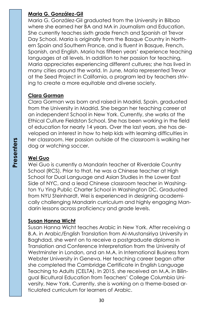#### **Maria G. González-Gil**

Maria G. González-Gil graduated from the University in Bilbao where she earned her BA and MA in Journalism and Education. She currently teaches sixth grade French and Spanish at Trevor Day School. Maria is originally from the Basque Country in Northern Spain and Southern France, and is fluent in Basque, French, Spanish, and English. Maria has fifteen years' experience teaching languages at all levels. In addition to her passion for teaching, Maria appreciates experiencing different cultures; she has lived in many cities around the world. In June, Maria represented Trevor at the Seed Project in California, a program led by teachers striving to create a more equitable and diverse society.

#### **Clara Gorman**

Clara Gorman was born and raised in Madrid, Spain, graduated from the University in Madrid. She began her teaching career at an independent School in New York. Currently, she works at the Ethical Culture Fieldston School. She has been working in the field of education for nearly 14 years. Over the last years, she has developed an interest in how to help kids with learning difficulties in her classroom. Her passion outside of the classroom is walking her dog or watching soccer.

#### **Wei Guo**

Wei Guo is currently a Mandarin teacher at Riverdale Country School (RCS). Prior to that, he was a Chinese teacher at High School for Dual Language and Asian Studies in the Lower East Side of NYC, and a lead Chinese classroom teacher in Washington Yu Ying Public Charter School in Washington DC. Graduated from NYU Steinhardt, Wei is experienced in designing academically challenging Mandarin curriculum and highly engaging Mandarin lessons across proficiency and grade levels.

#### **Susan Hanna Wicht**

Susan Hanna Wicht teaches Arabic in New York. After receiving a B.A. in Arabic/English Translation from Al-Mustansiriya University in Baghdad, she went on to receive a postgraduate diploma in Translation and Conference Interpretation from the University of Westminster in London, and an M.A. in International Business from Webster University in Geneva. Her teaching career began after she completed the Cambridge Certificate in English Language Teaching to Adults (CELTA). In 2015, she received an M.A. in Bilingual Bicultural Education from Teachers' College Columbia University, New York. Currently, she is working on a theme-based articulated curriculum for learners of Arabic.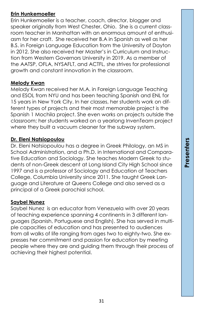#### **Erin Hunkemoeller**

Erin Hunkemoeller is a teacher, coach, director, blogger and speaker originally from West Chester, Ohio. She is a current classroom teacher in Manhattan with an enormous amount of enthusiasm for her craft. She received her B.A in Spanish as well as her B.S. in Foreign Language Education from the University of Dayton in 2012. She also received her Master's in Curriculum and Instruction from Western Governors University in 2019. As a member of the AATSP, OFLA, NYSAFLT, and ACTFL, she strives for professional growth and constant innovation in the classroom.

#### **Melody Kwan**

Melody Kwan received her M.A. in Foreign Language Teaching and ESOL from NYU and has been teaching Spanish and ENL for 15 years in New York City. In her classes, her students work on different types of projects and their most memorable project is the Spanish 1 Mochila project. She even works on projects outside the classroom; her students worked on a yearlong InvenTeam project where they built a vacuum cleaner for the subway system.

#### **Dr. Eleni Natsiopoulou**

Dr. Eleni Natsiopoulou has a degree in Greek Philology, an MS in School Administration, and a Ph.D. in International and Comparative Education and Sociology. She teaches Modern Greek to students of non-Greek descent at Long Island City High School since 1997 and is a professor of Sociology and Education at Teachers College, Columbia University since 2011. She taught Greek Language and Literature at Queens College and also served as a principal of a Greek parochial school.

#### **Saybel Nunez**

Saybel Nunez is an educator from Venezuela with over 20 years of teaching experience spanning 4 continents in 3 different languages (Spanish, Portuguese and English). She has served in multiple capacities of education and has presented to audiences from all walks of life ranging from ages two to eighty-two. She expresses her commitment and passion for education by meeting people where they are and guiding them through their process of achieving their highest potential.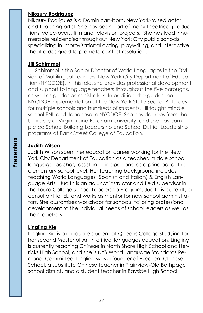#### **Nikaury Rodriguez**

Nikaury Rodriguez is a Dominican-born, New York-raised actor and teaching artist. She has been part of many theatrical productions, voice-overs, film and television projects. She has lead innumerable residencies throughout New York City public schools, specializing in improvisational acting, playwriting, and interactive theatre designed to promote conflict resolution.

#### **Jill Schimmel**

Jill Schimmel is the Senior Director of World Languages in the Division of Multilingual Learners, New York City Department of Education (NYCDOE). In this role, she provides professional development and support to language teachers throughout the five boroughs, as well as guides administrators. In addition, she guides the NYCDOE implementation of the New York State Seal of Biliteracy for multiple schools and hundreds of students. Jill taught middle school ENL and Japanese in NYCDOE. She has degrees from the University of Virginia and Fordham University, and she has completed School Building Leadership and School District Leadership programs at Bank Street College of Education.

#### **Judith Wilson**

Judith Wilson spent her education career working for the New York City Department of Education as a teacher, middle school language teacher, assistant principal and as a principal at the elementary school level. Her teaching background includes teaching World Languages (Spanish and Italian) & English Language Arts. Judith is an adjunct instructor and field supervisor in the Touro College School Leadership Program. Judith is currently a consultant for ELI and works as mentor for new school administrators. She customizes workshops for schools, tailoring professional development to the individual needs of school leaders as well as their teachers.

#### **Lingling Xie**

Lingling Xie is a graduate student at Queens College studying for her second Master of Art in critical languages education. Lingling is currently teaching Chinese in North Shore High School and Herricks High School, and she is NYS World Language Standards Regional Committee. Lingling was a founder of Excellent Chinese School, a substitute Chinese teacher in Plainview-Old Bethpage school district, and a student teacher in Bayside High School.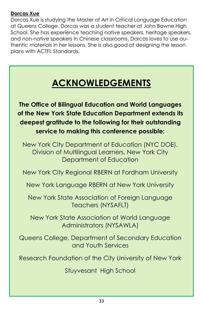#### **Dorcas Xue**

Dorcas Xue is studying the Master of Art in Critical Language Education at Queens College. Dorcas was a student teacher at John Bowne High School. She has experience teaching native speakers, heritage speakers, and non-native speakers in Chinese classrooms. Dorcas loves to use authentic materials in her lessons. She is also good at designing the lesson plans with ACTFL Standards.

## **ACKNOWLEDGEMENTS**

**The Office of Bilingual Education and World Languages of the New York State Education Department extends its deepest gratitude to the following for their outstanding service to making this conference possible:** 

New York City Department of Education (NYC DOE), Division of Multilingual Learners, New York City Department of Education

New York City Regional RBERN at Fordham University

New York Language RBERN at New York University

New York State Association of Foreign Language Teachers (NYSAFLT)

New York State Association of World Language Administrators (NYSAWLA)

Queens College, Department of Secondary Education and Youth Services

Research Foundation of the City University of New York

Stuyvesant High School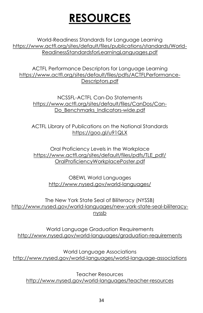## **RESOURCES**

World-Readiness Standards for Language Learning https://www.actfl.org/sites/default/files/publications/standards/World-ReadinessStandardsforLearningLanguages.pdf

ACTFL Performance Descriptors for Language Learning https://www.actfl.org/sites/default/files/pdfs/ACTFLPerformance-Descriptors.pdf

NCSSFL-ACTFL Can-Do Statements https://www.actfl.org/sites/default/files/CanDos/Can-Do Benchmarks Indicators-wide.pdf

ACTFL Library of Publications on the National Standards https://goo.gl/u91QLX

Oral Proficiency Levels in the Workplace https://www.actfl.org/sites/default/files/pdfs/TLE\_pdf/ OralProficiencyWorkplacePoster.pdf

> OBEWL World Languages http://www.nysed.gov/world-languages/

The New York State Seal of Biliteracy (NYSSB) http://www.nysed.gov/world-languages/new-york-state-seal-biliteracynyssb

World Language Graduation Requirements http://www.nysed.gov/world-languages/graduation-requirements

World Language Associations http://www.nysed.gov/world-languages/world-language-associations

Teacher Resources http://www.nysed.gov/world-languages/teacher-resources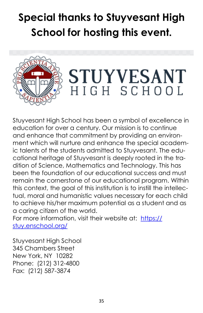## **Special thanks to Stuyvesant High School for hosting this event.**



Stuyvesant High School has been a symbol of excellence in education for over a century. Our mission is to continue and enhance that commitment by providing an environment which will nurture and enhance the special academic talents of the students admitted to Stuyvesant. The educational heritage of Stuyvesant is deeply rooted in the tradition of Science, Mathematics and Technology. This has been the foundation of our educational success and must remain the cornerstone of our educational program. Within this context, the goal of this institution is to instill the intellectual, moral and humanistic values necessary for each child to achieve his/her maximum potential as a student and as a caring citizen of the world.

For more information, visit their website at: [https://](https://stuy.enschool.org/) [stuy.enschool.org/](https://stuy.enschool.org/)

Stuyvesant High School 345 Chambers Street New York, NY 10282 Phone: (212) 312-4800 Fax: (212) 587-3874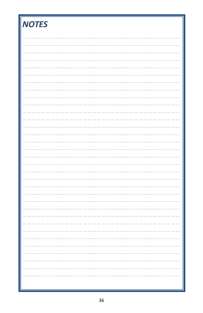| <b>NOTES</b> |
|--------------|
|              |
|              |
|              |
|              |
|              |
|              |
|              |
|              |
|              |
|              |
|              |
|              |
|              |
|              |
|              |
|              |
|              |
|              |
|              |
|              |
|              |
|              |
|              |
|              |
|              |
|              |
|              |
|              |
| - -          |
|              |
|              |
|              |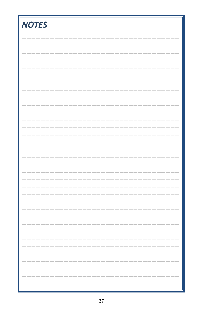| <b>NOTES</b> |
|--------------|
|              |
|              |
|              |
|              |
|              |
|              |
|              |
|              |
|              |
|              |
|              |
|              |
|              |
|              |
|              |
|              |
|              |
|              |
|              |
|              |
|              |
|              |
|              |
|              |
|              |
|              |
|              |
|              |
|              |
|              |
|              |
|              |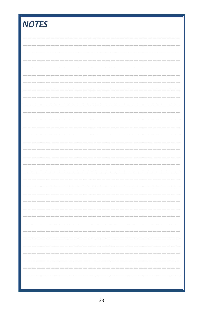| <b>NOTES</b> |
|--------------|
|              |
|              |
|              |
|              |
|              |
|              |
|              |
|              |
|              |
|              |
|              |
|              |
|              |
|              |
|              |
|              |
|              |
|              |
|              |
|              |
|              |
|              |
|              |
|              |
|              |
|              |
|              |
|              |
| - -          |
|              |
|              |
|              |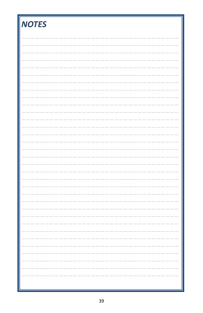| <b>NOTES</b> |
|--------------|
|              |
|              |
|              |
|              |
|              |
|              |
|              |
|              |
|              |
|              |
|              |
|              |
|              |
|              |
|              |
|              |
|              |
|              |
|              |
|              |
|              |
|              |
|              |
|              |
|              |
|              |
|              |
|              |
|              |
|              |
|              |
|              |
|              |
|              |